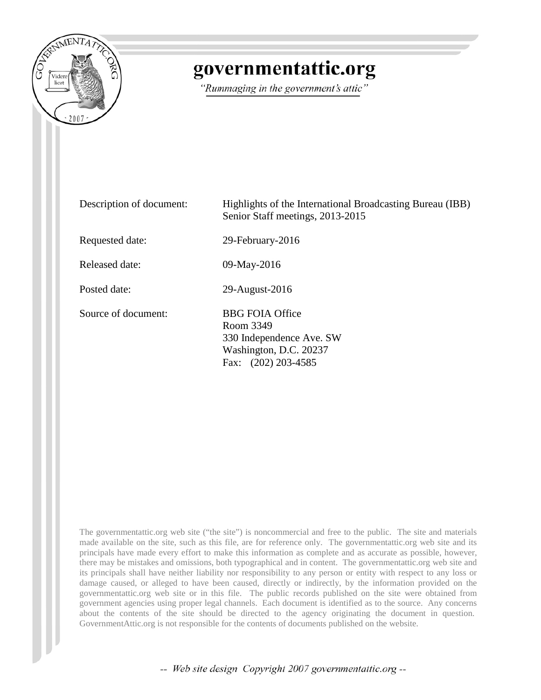

# governmentattic.org

"Rummaging in the government's attic"

| Description of document: | Highlights of the International Broadcasting Bureau (IBB)<br>Senior Staff meetings, 2013-2015                         |
|--------------------------|-----------------------------------------------------------------------------------------------------------------------|
| Requested date:          | 29-February-2016                                                                                                      |
| Released date:           | 09-May-2016                                                                                                           |
| Posted date:             | 29-August-2016                                                                                                        |
| Source of document:      | <b>BBG FOIA Office</b><br>Room 3349<br>330 Independence Ave. SW<br>Washington, D.C. 20237<br>$(202)$ 203-4585<br>Fax: |

The governmentattic.org web site ("the site") is noncommercial and free to the public. The site and materials made available on the site, such as this file, are for reference only. The governmentattic.org web site and its principals have made every effort to make this information as complete and as accurate as possible, however, there may be mistakes and omissions, both typographical and in content. The governmentattic.org web site and its principals shall have neither liability nor responsibility to any person or entity with respect to any loss or damage caused, or alleged to have been caused, directly or indirectly, by the information provided on the governmentattic.org web site or in this file. The public records published on the site were obtained from government agencies using proper legal channels. Each document is identified as to the source. Any concerns about the contents of the site should be directed to the agency originating the document in question. GovernmentAttic.org is not responsible for the contents of documents published on the website.

-- Web site design Copyright 2007 governmentattic.org --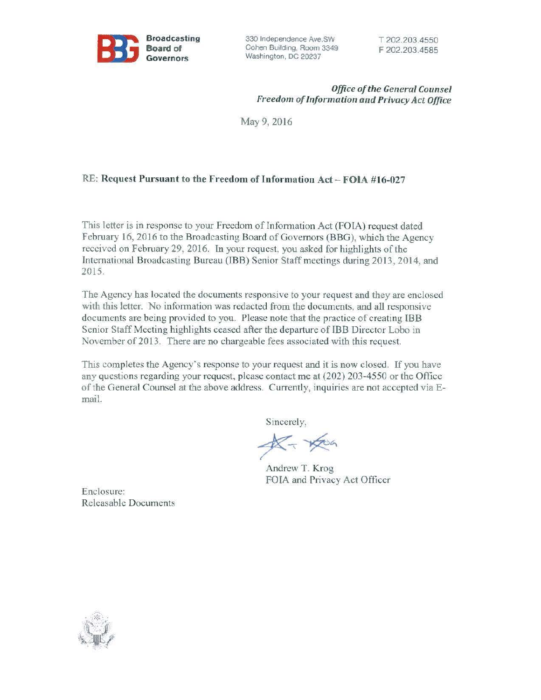

330 Independence Ave.SW Cohen Building, Room 3349 Washington, DC 20237

## *Office of the General Counsel Freedom of Information and Privacy Act Office*

May9, 2016

## RE: Request Pursuant to the Freedom of Information Act - FOIA #16-027

This letter is in response to your Freedom of Information Act (FOIA) request dated February 16, 2016 to the Broadcasting Board of Governors (BBG), which the Agency received on February 29. 2016. In your request, you asked for highlights of the International Broadcasting Bureau (IBB) Senior Staff meetings during 2013, 2014, and 2015.

The Agency has located the documents responsive to your request and they are enclosed with this letter. No information was redacted from the documents, and all responsive documents are being provided to you. Please note that the practice of creating IBB Senior Staff Meeting highlights ceased after the departure of IBB Director Lobo in November of 2013. There are no chargeable fees associated with this request.

This completes the Agency's response to your request and it is now closed. If you have any questions regarding your request, please contact me at (202) 203-4550 or the Office of the General Counsel at the above address. Currently, inquiries are not accepted via Email.

Sincerely,

 $K - K$ 

Andrew T. Krog FOIA and Privacy Act Officer

Enclosure: Releasable Documents

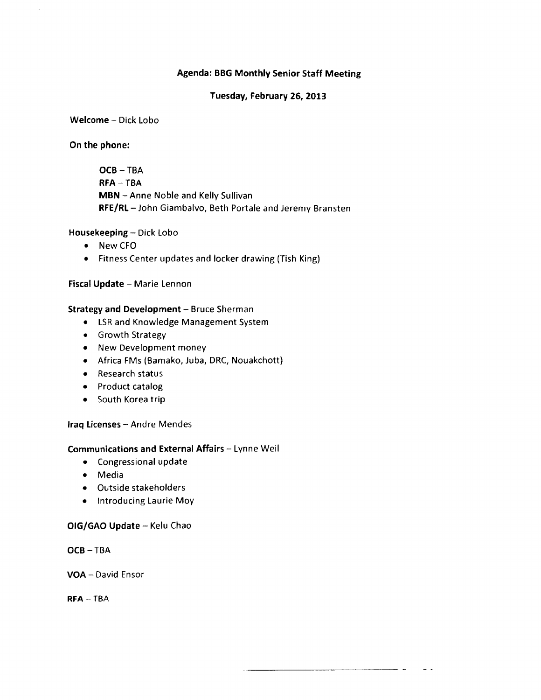## Agenda: BBG Monthly Senior Staff Meeting

## Tuesday, February 26, 2013

al al

 $\sim$   $\sim$ 

## Welcome - Dick Lobo

## On the phone:

OCB-TBA RFA-TBA MBN -Anne Noble and Kelly Sullivan RFE/RL - John Giambalvo, Beth Portale and Jeremy Bransten

## Housekeeping - Dick Lobo

- New CFO
- Fitness Center updates and locker drawing (Tish King)

## Fiscal Update - Marie Lennon

## Strategy and Development - Bruce Sherman

- LSR and Knowledge Management System
- Growth Strategy
- New Development money
- Africa FMs (Bamako, Juba, DRC, Nouakchott)
- Research status
- Product catalog
- South Korea trip

## Iraq Licenses - Andre Mendes

## Communications and External Affairs - Lynne Weil

- Congressional update
- Media
- Outside stakeholders
- Introducing Laurie Moy

## OIG/GAO Update - Kelu Chao

OCB-TBA

VOA - David Ensor

RFA-TBA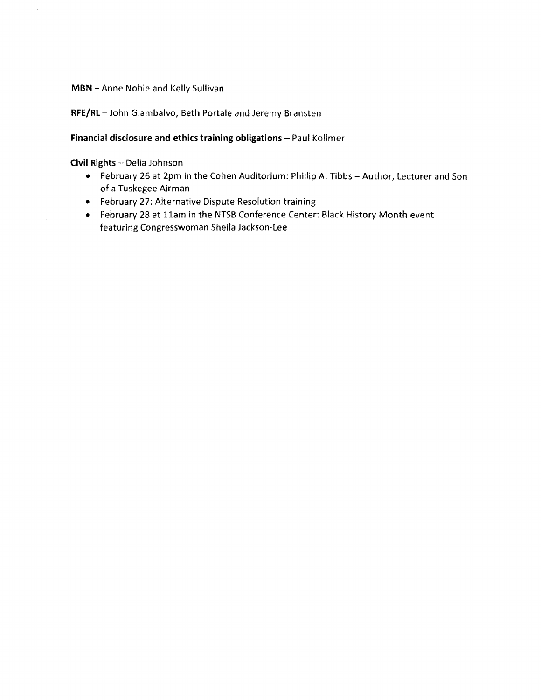**MBN** -Anne Noble and Kelly Sullivan

RFE/RL-John Giambalvo, Beth Portale and Jeremy Bransten

## Financial disclosure and ethics training obligations - Paul Kollmer

Civil Rights - Delia Johnson

- February 26 at 2pm in the Cohen Auditorium: Phillip A. Tibbs Author, Lecturer and Son of a Tuskegee Airman
- February 27: Alternative Dispute Resolution training
- February 28 at 11am in the NTSB Conference Center: Black History Month event featuring Congresswoman Sheila Jackson-Lee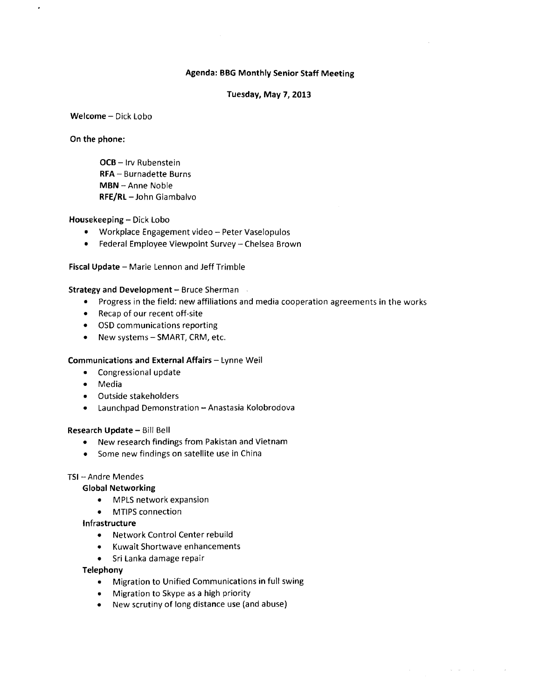## Agenda: BBG Monthly Senior Staff Meeting

#### Tuesday, May 7, 2013

Welcome - Dick Lobo

On the phone:

OCB - Irv Rubenstein RFA - Burnadette Burns MBN -Anne Noble RFE/RL-John Giambalvo

#### Housekeeping - Dick Lobo

- Workplace Engagement video Peter Vaselopulos
- Federal Employee Viewpoint Survey Chelsea Brown

Fiscal Update - Marie Lennon and Jeff Trimble

#### Strategy and Development - Bruce Sherman

- Progress in the field: new affiliations and media cooperation agreements in the works
- Recap of our recent off-site
- OSD communications reporting
- New systems SMART, CRM, etc.

#### Communications and External Affairs - Lynne Weil

- Congressional update
- Media
- Outside stakeholders
- Launchpad Demonstration Anastasia Kolobrodova

#### Research Update- Bill Bell

- New research findings from Pakistan and Vietnam
- Some new findings on satellite use in China

#### TSI -- Andre Mendes

#### Global Networking

- MPLS network expansion
- MTIPS connection

#### Infrastructure

- Network Control Center rebuild
- Kuwait Shortwave enhancements
- Sri Lanka damage repair

#### Telephony

• Migration to Unified Communications in full swing

 $\mathcal{A}=\mathcal{A}$  , where  $\mathcal{A}=\mathcal{A}$ 

- Migration to Skype as a high priority
- New scrutiny of long distance use (and abuse)